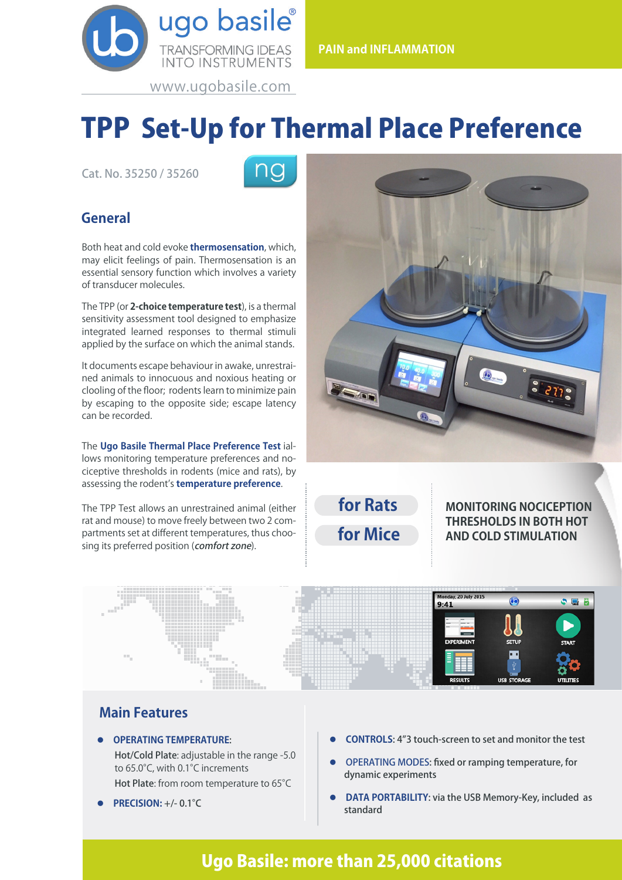

# TPP Set-Up for Thermal Place Preference

Cat. No. 35250 / 35260



## **General**

Both heat and cold evoke **thermosensation**, which, may elicit feelings of pain. Thermosensation is an essential sensory function which involves a variety of transducer molecules.

The TPP (or **2-choice temperature test**), is a thermal sensitivity assessment tool designed to emphasize integrated learned responses to thermal stimuli applied by the surface on which the animal stands.

It documents escape behaviour in awake, unrestrained animals to innocuous and noxious heating or clooling of the floor; rodents learn to minimize pain by escaping to the opposite side; escape latency can be recorded.

The **Ugo Basile Thermal Place Preference Test** iallows monitoring temperature preferences and nociceptive thresholds in rodents (mice and rats), by assessing the rodent's **temperature preference**.

The TPP Test allows an unrestrained animal (either rat and mouse) to move freely between two 2 compartments set at different temperatures, thus choosing its preferred position (comfort zone).



**for Rats for Mice**

**MONITORING NOCICEPTION THRESHOLDS IN BOTH HOT AND COLD STIMULATION**



### **Main Features**

- l **OPERATING TEMPERATURE**:
	- Hot/Cold Plate: adjustable in the range -5.0 to 65.0°C, with 0.1°C increments Hot Plate: from room temperature to 65°C
- l **PRECISION:** +/- 0.1°C
- **CONTROLS:** 4"3 touch-screen to set and monitor the test
- l OPERATING MODES: fixed or ramping temperature, for dynamic experiments
- **DATA PORTABILITY:** via the USB Memory-Key, included as standard

# Ugo Basile: more than 25,000 citations